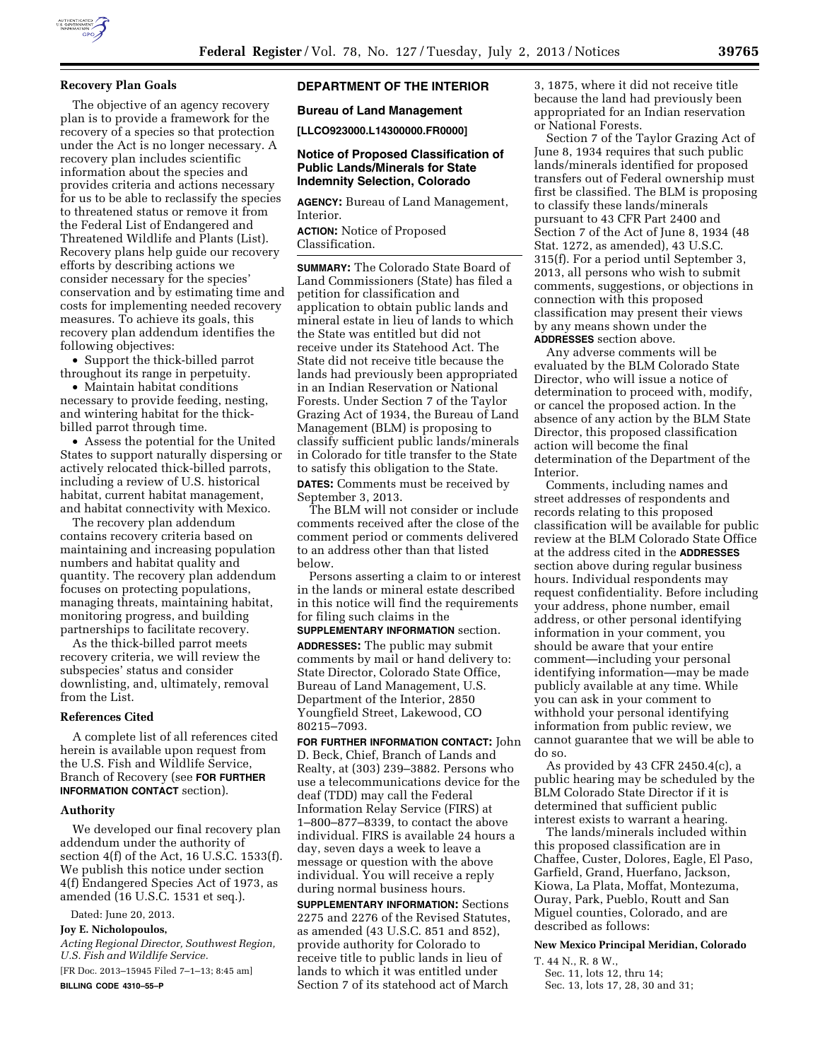

## **Recovery Plan Goals**

The objective of an agency recovery plan is to provide a framework for the recovery of a species so that protection under the Act is no longer necessary. A recovery plan includes scientific information about the species and provides criteria and actions necessary for us to be able to reclassify the species to threatened status or remove it from the Federal List of Endangered and Threatened Wildlife and Plants (List). Recovery plans help guide our recovery efforts by describing actions we consider necessary for the species' conservation and by estimating time and costs for implementing needed recovery measures. To achieve its goals, this recovery plan addendum identifies the following objectives:

• Support the thick-billed parrot throughout its range in perpetuity.

• Maintain habitat conditions necessary to provide feeding, nesting, and wintering habitat for the thickbilled parrot through time.

• Assess the potential for the United States to support naturally dispersing or actively relocated thick-billed parrots, including a review of U.S. historical habitat, current habitat management, and habitat connectivity with Mexico.

The recovery plan addendum contains recovery criteria based on maintaining and increasing population numbers and habitat quality and quantity. The recovery plan addendum focuses on protecting populations, managing threats, maintaining habitat, monitoring progress, and building partnerships to facilitate recovery.

As the thick-billed parrot meets recovery criteria, we will review the subspecies' status and consider downlisting, and, ultimately, removal from the List.

### **References Cited**

A complete list of all references cited herein is available upon request from the U.S. Fish and Wildlife Service, Branch of Recovery (see **FOR FURTHER INFORMATION CONTACT** section).

#### **Authority**

We developed our final recovery plan addendum under the authority of section 4(f) of the Act, 16 U.S.C. 1533(f). We publish this notice under section 4(f) Endangered Species Act of 1973, as amended (16 U.S.C. 1531 et seq.).

Dated: June 20, 2013.

**Joy E. Nicholopoulos,** 

*Acting Regional Director, Southwest Region, U.S. Fish and Wildlife Service.* 

[FR Doc. 2013–15945 Filed 7–1–13; 8:45 am] **BILLING CODE 4310–55–P** 

# **DEPARTMENT OF THE INTERIOR**

# **Bureau of Land Management**

**[LLCO923000.L14300000.FR0000]** 

# **Notice of Proposed Classification of Public Lands/Minerals for State Indemnity Selection, Colorado**

**AGENCY:** Bureau of Land Management, Interior.

**ACTION:** Notice of Proposed Classification.

**SUMMARY:** The Colorado State Board of Land Commissioners (State) has filed a petition for classification and application to obtain public lands and mineral estate in lieu of lands to which the State was entitled but did not receive under its Statehood Act. The State did not receive title because the lands had previously been appropriated in an Indian Reservation or National Forests. Under Section 7 of the Taylor Grazing Act of 1934, the Bureau of Land Management (BLM) is proposing to classify sufficient public lands/minerals in Colorado for title transfer to the State to satisfy this obligation to the State. **DATES:** Comments must be received by

September 3, 2013. The BLM will not consider or include

comments received after the close of the comment period or comments delivered to an address other than that listed below.

Persons asserting a claim to or interest in the lands or mineral estate described in this notice will find the requirements for filing such claims in the

**SUPPLEMENTARY INFORMATION** section. **ADDRESSES:** The public may submit comments by mail or hand delivery to: State Director, Colorado State Office, Bureau of Land Management, U.S. Department of the Interior, 2850 Youngfield Street, Lakewood, CO 80215–7093.

**FOR FURTHER INFORMATION CONTACT:** John D. Beck, Chief, Branch of Lands and Realty, at (303) 239–3882. Persons who use a telecommunications device for the deaf (TDD) may call the Federal Information Relay Service (FIRS) at 1–800–877–8339, to contact the above individual. FIRS is available 24 hours a day, seven days a week to leave a message or question with the above individual. You will receive a reply during normal business hours.

**SUPPLEMENTARY INFORMATION:** Sections 2275 and 2276 of the Revised Statutes, as amended (43 U.S.C. 851 and 852), provide authority for Colorado to receive title to public lands in lieu of lands to which it was entitled under Section 7 of its statehood act of March

3, 1875, where it did not receive title because the land had previously been appropriated for an Indian reservation or National Forests.

Section 7 of the Taylor Grazing Act of June 8, 1934 requires that such public lands/minerals identified for proposed transfers out of Federal ownership must first be classified. The BLM is proposing to classify these lands/minerals pursuant to 43 CFR Part 2400 and Section 7 of the Act of June 8, 1934 (48 Stat. 1272, as amended), 43 U.S.C. 315(f). For a period until September 3, 2013, all persons who wish to submit comments, suggestions, or objections in connection with this proposed classification may present their views by any means shown under the **ADDRESSES** section above.

Any adverse comments will be evaluated by the BLM Colorado State Director, who will issue a notice of determination to proceed with, modify, or cancel the proposed action. In the absence of any action by the BLM State Director, this proposed classification action will become the final determination of the Department of the Interior.

Comments, including names and street addresses of respondents and records relating to this proposed classification will be available for public review at the BLM Colorado State Office at the address cited in the **ADDRESSES** section above during regular business hours. Individual respondents may request confidentiality. Before including your address, phone number, email address, or other personal identifying information in your comment, you should be aware that your entire comment—including your personal identifying information—may be made publicly available at any time. While you can ask in your comment to withhold your personal identifying information from public review, we cannot guarantee that we will be able to do so.

As provided by 43 CFR 2450.4(c), a public hearing may be scheduled by the BLM Colorado State Director if it is determined that sufficient public interest exists to warrant a hearing.

The lands/minerals included within this proposed classification are in Chaffee, Custer, Dolores, Eagle, El Paso, Garfield, Grand, Huerfano, Jackson, Kiowa, La Plata, Moffat, Montezuma, Ouray, Park, Pueblo, Routt and San Miguel counties, Colorado, and are described as follows:

**New Mexico Principal Meridian, Colorado** 

T. 44 N., R. 8 W.,

Sec. 11, lots 12, thru 14;

Sec. 13, lots 17, 28, 30 and 31;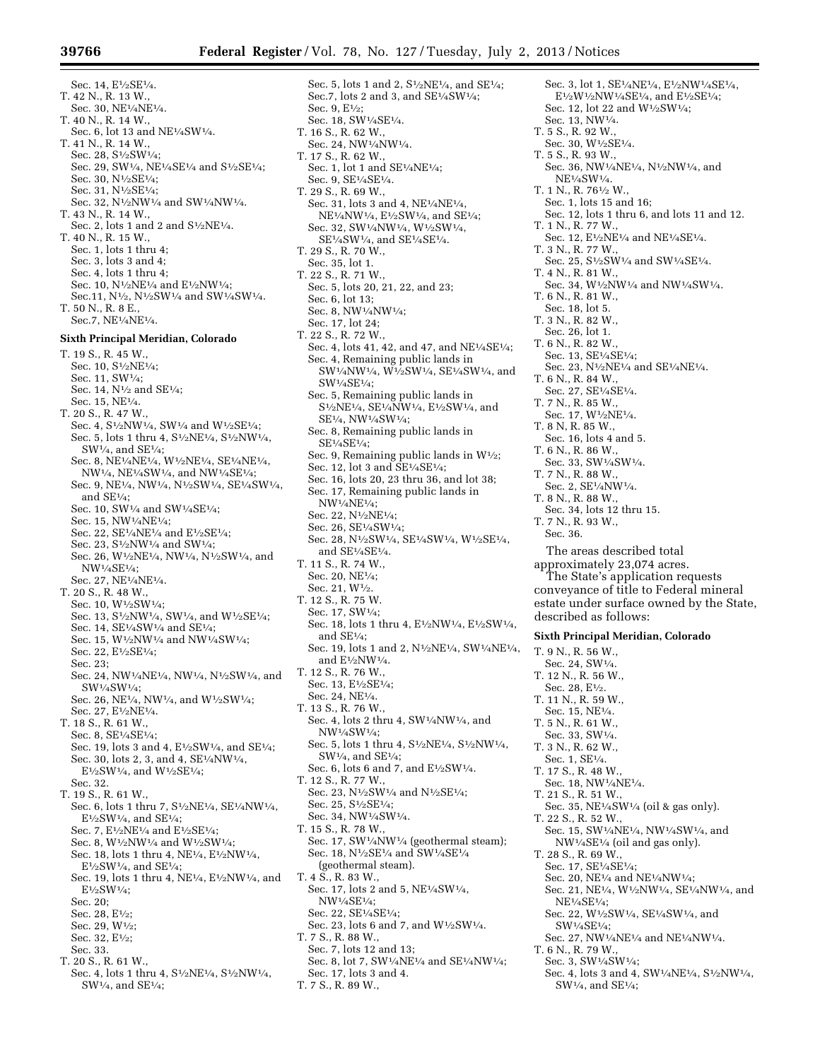Sec. 14, E<sup>1</sup>/2SE<sup>1</sup>/4. T. 42 N., R. 13 W., Sec. 30, NE1⁄4NE1⁄4. T. 40 N., R. 14 W., Sec. 6, lot 13 and  $NE<sup>1</sup>/4SW<sup>1</sup>/4$ . T. 41 N., R. 14 W., Sec. 28, S1⁄2SW1⁄4; Sec. 29, SW1/4, NE1/4SE1/4 and S1/2SE1/4; Sec. 30, N1⁄2SE1⁄4; Sec. 31, N1⁄2SE1⁄4; Sec. 32, N<sup>1</sup>/<sub>2</sub>NW<sup>1</sup>/<sub>4</sub> and SW<sup>1</sup>/<sub>4</sub>NW<sup>1</sup>/<sub>4</sub>. T. 43 N., R. 14 W., Sec. 2, lots 1 and 2 and S1⁄2NE1⁄4. T. 40 N., R. 15 W., Sec. 1, lots 1 thru 4; Sec. 3, lots 3 and 4; Sec. 4, lots 1 thru 4; Sec. 10,  $\mathrm{N^{1}\!/\!2NE^{1}\!/\!4}$  and  $\mathrm{E^{1}\!/\!2NW^{1}\!/\!4};$ Sec.11, N1⁄2, N1⁄2SW1⁄4 and SW1⁄4SW1⁄4. T. 50 N., R. 8 E., Sec.7, NE1⁄4NE1⁄4. **Sixth Principal Meridian, Colorado**  T. 19 S., R. 45 W., Sec. 10, S<sup>1</sup>/<sub>2</sub>NE<sup>1</sup>/<sub>4</sub>; Sec. 11, SW1⁄4; Sec. 14, N<sup>1</sup>/<sub>2</sub> and SE<sup>1</sup>/<sub>4</sub>; Sec. 15, NE1⁄4. T. 20 S., R. 47 W., Sec. 4,  $\mathrm{S}^{1}\!/\mathrm{2NW^{1}\!/\mathrm{4}},$  SW1/4 and W1/2SE1/4; Sec. 5, lots 1 thru 4, S<sup>1</sup>/<sub>2</sub>NE<sup>1</sup>/<sub>4</sub>, S<sup>1</sup>/<sub>2</sub>NW<sup>1</sup>/<sub>4</sub>, SW1⁄4, and SE1⁄4; Sec. 8, NE<sup>1/4</sup>NE<sup>1/4</sup>, W<sup>1</sup>/2NE<sup>1/4</sup>, SE<sup>1/4</sup>NE<sup>1/4</sup>. NW1⁄4, NE1⁄4SW1⁄4, and NW1⁄4SE1⁄4; Sec. 9, NE1⁄4, NW1⁄4, N1⁄2SW1⁄4, SE1⁄4SW1⁄4, and SE1⁄4; Sec. 10, SW1/<sub>4</sub> and SW1/<sub>4</sub>SE<sup>1</sup>/<sub>4</sub>; Sec. 15, NW1⁄4NE1⁄4; Sec. 22, SE1⁄4NE1⁄4 and E1⁄2SE1⁄4; Sec. 23, S<sup>1</sup>/<sub>2</sub>NW<sup>1</sup>/<sub>4</sub> and SW<sup>1</sup>/<sub>4</sub>; Sec. 26, W1⁄2NE1⁄4, NW1⁄4, N1⁄2SW1⁄4, and NW1⁄4SE1⁄4; Sec. 27, NE1⁄4NE1⁄4. T. 20 S., R. 48 W., Sec. 10, W1⁄2SW1⁄4; Sec. 13, S<sup>1</sup>/<sub>2</sub>NW<sup>1</sup>/<sub>4</sub>, SW<sup>1</sup>/<sub>4</sub>, and W<sup>1</sup>/<sub>2</sub>SE<sup>1</sup>/<sub>4</sub>; Sec. 14, SE1⁄4SW1⁄4 and SE1⁄4; Sec. 15, W1⁄2NW1⁄4 and NW1⁄4SW1⁄4; Sec. 22, E1⁄2SE1⁄4; Sec. 23; Sec. 24, NW1⁄4NE1⁄4, NW1⁄4, N1⁄2SW1⁄4, and

- SW1⁄4SW1⁄4; Sec. 26, NE1⁄4, NW1⁄4, and W1⁄2SW1⁄4;
- Sec. 27, E<sup>1</sup>/2NE<sup>1</sup>/<sub>4</sub>.
- T. 18 S., R. 61 W.,
- Sec. 8, SE1⁄4SE1⁄4;
- Sec. 19, lots 3 and 4, E<sup>1</sup>/<sub>2</sub>SW<sup>1</sup>/<sub>4</sub>, and SE<sup>1</sup>/<sub>4</sub>; Sec. 30, lots 2, 3, and 4, SE1⁄4NW1⁄4,
- E1⁄2SW1⁄4, and W1⁄2SE1⁄4;
- Sec. 32.
- T. 19 S., R. 61 W., Sec. 6, lots 1 thru 7, S<sup>1</sup>/<sub>2</sub>NE<sup>1</sup>/<sub>4</sub>, SE<sup>1</sup>/<sub>4</sub>NW<sup>1</sup>/<sub>4</sub>,  $E\frac{1}{2}SW\frac{1}{4}$ , and  $SE\frac{1}{4}$ ;
	- Sec. 7, E1⁄2NE1⁄4 and E1⁄2SE1⁄4;
	- Sec. 8, W1⁄2NW1⁄4 and W1⁄2SW1⁄4;
	- Sec. 18, lots 1 thru 4, NE1⁄4, E1⁄2NW1⁄4,
- $E\frac{1}{2}SW\frac{1}{4}$ , and  $SE\frac{1}{4}$ ; Sec. 19, lots 1 thru 4, NE1⁄4, E1⁄2NW1⁄4, and E1⁄2SW1⁄4;
- 
- Sec. 20;
- Sec. 28, E1⁄2; Sec. 29, W1⁄2;
- Sec. 32, E1⁄2;
- Sec. 33.
- T. 20 S., R. 61 W.,
- Sec. 4, lots 1 thru 4, S1⁄2NE1⁄4, S1⁄2NW1⁄4, SW1⁄4, and SE1⁄4;

Sec. 5, lots 1 and 2, S1⁄2NE1⁄4, and SE1⁄4; Sec.7, lots 2 and 3, and SE1⁄4SW1⁄4; Sec. 9, E1⁄2; Sec. 18, SW1⁄4SE1⁄4. T. 16 S., R. 62 W., Sec. 24, NW1⁄4NW1⁄4. T. 17 S., R. 62 W., Sec. 1, lot 1 and SE $\frac{1}{4}$ NE $\frac{1}{4}$ ; Sec. 9, SE1⁄4SE1⁄4. T. 29 S., R. 69 W., Sec. 31, lots 3 and 4, NE1⁄4NE1⁄4, NE<sup>1</sup>/<sub>4</sub>NW<sup>1</sup>/<sub>4</sub>, E<sup>1</sup>/<sub>2</sub>SW<sup>1</sup>/<sub>4</sub>, and SE<sup>1</sup>/<sub>4</sub>; Sec. 32, SW1⁄4NW1⁄4, W1⁄2SW1⁄4, SE1⁄4SW1⁄4, and SE1⁄4SE1⁄4. T. 29 S., R. 70 W., Sec. 35, lot 1. T. 22 S., R. 71 W., Sec. 5, lots 20, 21, 22, and 23; Sec. 6, lot 13; Sec. 8, NW1⁄4NW1⁄4; Sec. 17, lot 24; T. 22 S., R. 72 W., Sec. 4, lots 41, 42, and 47, and NE1⁄4SE1⁄4; Sec. 4, Remaining public lands in SW1⁄4NW1⁄4, W1⁄2SW1⁄4, SE1⁄4SW1⁄4, and SW1⁄4SE1⁄4; Sec. 5, Remaining public lands in  $S<sup>1</sup>2NE<sup>1</sup>/4$ ,  $SE<sup>1</sup>/4NW<sup>1</sup>/4$ ,  $E<sup>1</sup>/2SW<sup>1</sup>/4$ , and SE1⁄4, NW1⁄4SW1⁄4; Sec. 8, Remaining public lands in SE1⁄4SE1⁄4; Sec. 9, Remaining public lands in  $W<sup>1</sup>/2$ ; Sec. 12, lot 3 and  $\overline{SE1/4SE1/4}$ : Sec. 16, lots 20, 23 thru 36, and lot 38; Sec. 17, Remaining public lands in NW1⁄4NE1⁄4; Sec. 22, N1⁄2NE1⁄4; Sec. 26, SE1⁄4SW1⁄4; Sec. 28, N1⁄2SW1⁄4, SE1⁄4SW1⁄4, W1⁄2SE1⁄4, and SE1⁄4SE1⁄4. T. 11 S., R. 74 W., Sec. 20, NE1⁄4; Sec. 21, W1⁄2. T. 12 S., R. 75 W. Sec. 17, SW1⁄4; Sec. 18, lots 1 thru 4, E1⁄2NW1⁄4, E1⁄2SW1⁄4, and SE1⁄4; Sec. 19, lots 1 and 2, N1⁄2NE1⁄4, SW1⁄4NE1⁄4, and  $E^{1/2}NW^{1/4}$ . T. 12 S., R. 76 W., Sec. 13, E<sup>1</sup>/2SE<sup>1</sup>/4: Sec. 24, NE1⁄4. T. 13 S., R. 76 W., Sec. 4, lots 2 thru 4, SW1⁄4NW1⁄4, and NW1⁄4SW1⁄4; Sec. 5, lots 1 thru 4, S1⁄2NE1⁄4, S1⁄2NW1⁄4, SW1⁄4, and SE1⁄4; Sec. 6, lots 6 and 7, and E<sup>1</sup>/<sub>2</sub>SW<sup>1</sup>/<sub>4</sub>. T. 12 S., R. 77 W., Sec. 23, N1⁄2SW1⁄4 and N1⁄2SE1⁄4; Sec. 25, S1⁄2SE1⁄4; Sec. 34, NW1⁄4SW1⁄4. T. 15 S., R. 78 W., Sec. 17, SW1/4NW1/4 (geothermal steam); Sec. 18, N1⁄2SE1⁄4 and SW1⁄4SE1⁄4 (geothermal steam). T. 4 S., R. 83 W., Sec. 17, lots 2 and 5, NE1⁄4SW1⁄4, NW1⁄4SE1⁄4; Sec. 22, SE1⁄4SE1⁄4; Sec. 23, lots 6 and 7, and W1⁄2SW1⁄4. T. 7 S., R. 88 W., Sec. 7, lots 12 and 13; Sec. 8, lot 7, SW1⁄4NE1⁄4 and SE1⁄4NW1⁄4; Sec. 17, lots 3 and 4.

T. 7 S., R. 89 W.,

Sec. 3, lot 1, SE<sup>1</sup>/<sub>4</sub>NE<sup>1</sup>/<sub>4</sub>, E<sup>1</sup>/<sub>2</sub>NW<sup>1</sup>/<sub>4</sub>SE<sup>1</sup>/<sub>4</sub>,  $\rm E1/_{2}W1/_{2}NW1/_{4}SE1/_{4},$  and  $\rm E1/_{2}SE1/_{4};$ Sec. 12, lot 22 and W1⁄2SW1⁄4; Sec. 13, NW1⁄4. T. 5 S., R. 92 W., Sec. 30, W1⁄2SE1⁄4. T. 5 S., R. 93 W., Sec. 36, NW1⁄4NE1⁄4, N1⁄2NW1⁄4, and NE1⁄4SW1⁄4. T. 1 N., R. 761/2 W. Sec. 1, lots 15 and 16; Sec. 12, lots 1 thru 6, and lots 11 and 12. T. 1 N., R. 77 W., Sec. 12, E1⁄2NE1⁄4 and NE1⁄4SE1⁄4. T. 3 N., R. 77 W., Sec. 25, S<sup>1</sup>/<sub>2</sub>SW<sup>1</sup>/<sub>4</sub> and SW<sup>1</sup>/<sub>4</sub>SE<sup>1</sup>/<sub>4</sub>. T. 4 N., R. 81 W., Sec. 34, W<sup>1</sup>/2NW<sup>1</sup>/<sub>4</sub> and NW<sup>1</sup>/<sub>4</sub>SW<sup>1</sup>/<sub>4</sub>. T. 6 N., R. 81 W., Sec. 18, lot 5. T. 3 N., R. 82 W., Sec. 26, lot 1. T. 6 N., R. 82 W., Sec. 13, SE1⁄4SE1⁄4; Sec. 23, N1⁄2NE1⁄4 and SE1⁄4NE1⁄4. T. 6 N., R. 84 W., Sec. 27, SE1⁄4SE1⁄4. T. 7 N., R. 85 W., Sec. 17, W1⁄2NE1⁄4. T. 8 N, R. 85 W., Sec. 16, lots 4 and 5. T. 6 N., R. 86 W., Sec. 33, SW1⁄4SW1⁄4. T. 7 N., R. 88 W., Sec. 2, SE1⁄4NW1⁄4. T. 8 N., R. 88 W., Sec. 34, lots 12 thru 15. T. 7 N., R. 93 W., Sec. 36. The areas described total approximately 23,074 acres. The State's application requests conveyance of title to Federal mineral estate under surface owned by the State, described as follows: **Sixth Principal Meridian, Colorado**  T. 9 N., R. 56 W., Sec. 24, SW1⁄4. T. 12 N., R. 56 W., Sec. 28, E1⁄2. T. 11 N., R. 59 W., Sec. 15, NE1⁄4. T. 5 N., R. 61 W., Sec. 33, SW1⁄4. T. 3 N., R. 62 W., Sec. 1, SE1⁄4. T. 17 S., R. 48 W., Sec. 18, NW1⁄4NE1⁄4. T. 21 S., R. 51 W., Sec. 35,  $NE\frac{1}{4}SW\frac{1}{4}$  (oil & gas only). T. 22 S., R. 52 W., Sec. 15, SW1⁄4NE1⁄4, NW1⁄4SW1⁄4, and NW1⁄4SE1⁄4 (oil and gas only). T. 28 S., R. 69 W., Sec. 17, SE1⁄4SE1⁄4; Sec. 20, NE1⁄4 and NE1⁄4NW1⁄4; Sec. 21, NE1⁄4, W1⁄2NW1⁄4, SE1⁄4NW1⁄4, and NE1⁄4SE1⁄4; Sec. 22, W1⁄2SW1⁄4, SE1⁄4SW1⁄4, and SW1⁄4SE1⁄4; Sec. 27, NW1⁄4NE1⁄4 and NE1⁄4NW1⁄4. T. 6 N., R. 79 W., Sec. 3, SW1⁄4SW1⁄4; Sec. 4, lots 3 and 4, SW1⁄4NE1⁄4, S1⁄2NW1⁄4, SW1⁄4, and SE1⁄4;